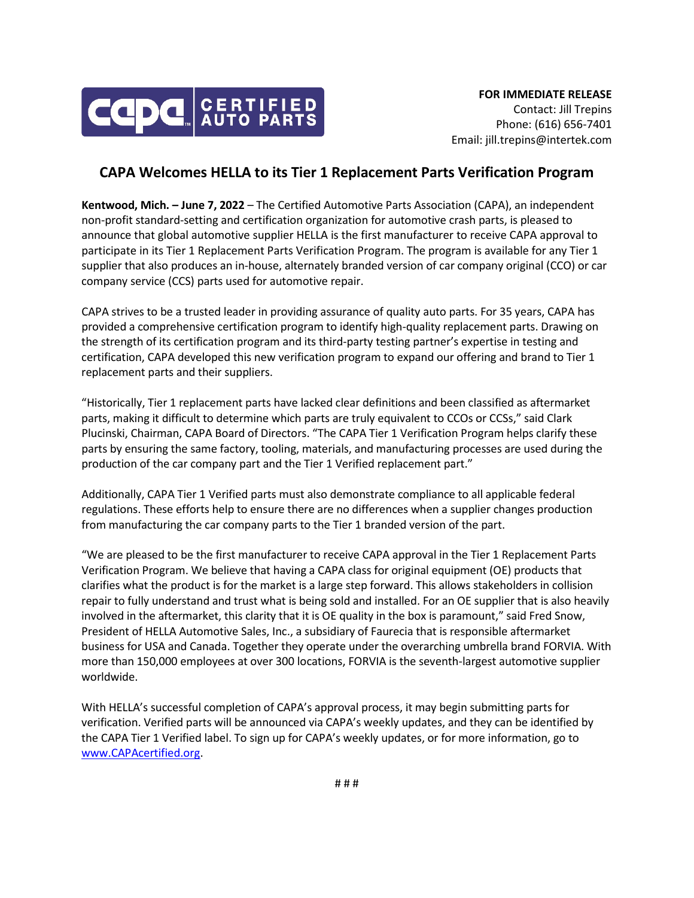

## **CAPA Welcomes HELLA to its Tier 1 Replacement Parts Verification Program**

**Kentwood, Mich. – June 7, 2022** – The Certified Automotive Parts Association (CAPA), an independent non-profit standard-setting and certification organization for automotive crash parts, is pleased to announce that global automotive supplier HELLA is the first manufacturer to receive CAPA approval to participate in its Tier 1 Replacement Parts Verification Program. The program is available for any Tier 1 supplier that also produces an in-house, alternately branded version of car company original (CCO) or car company service (CCS) parts used for automotive repair.

CAPA strives to be a trusted leader in providing assurance of quality auto parts. For 35 years, CAPA has provided a comprehensive certification program to identify high-quality replacement parts. Drawing on the strength of its certification program and its third-party testing partner's expertise in testing and certification, CAPA developed this new verification program to expand our offering and brand to Tier 1 replacement parts and their suppliers.

"Historically, Tier 1 replacement parts have lacked clear definitions and been classified as aftermarket parts, making it difficult to determine which parts are truly equivalent to CCOs or CCSs," said Clark Plucinski, Chairman, CAPA Board of Directors. "The CAPA Tier 1 Verification Program helps clarify these parts by ensuring the same factory, tooling, materials, and manufacturing processes are used during the production of the car company part and the Tier 1 Verified replacement part."

Additionally, CAPA Tier 1 Verified parts must also demonstrate compliance to all applicable federal regulations. These efforts help to ensure there are no differences when a supplier changes production from manufacturing the car company parts to the Tier 1 branded version of the part.

"We are pleased to be the first manufacturer to receive CAPA approval in the Tier 1 Replacement Parts Verification Program. We believe that having a CAPA class for original equipment (OE) products that clarifies what the product is for the market is a large step forward. This allows stakeholders in collision repair to fully understand and trust what is being sold and installed. For an OE supplier that is also heavily involved in the aftermarket, this clarity that it is OE quality in the box is paramount," said Fred Snow, President of HELLA Automotive Sales, Inc., a subsidiary of Faurecia that is responsible aftermarket business for USA and Canada. Together they operate under the overarching umbrella brand FORVIA. With more than 150,000 employees at over 300 locations, FORVIA is the seventh-largest automotive supplier worldwide.

With HELLA's successful completion of CAPA's approval process, it may begin submitting parts for verification. Verified parts will be announced via CAPA's weekly updates, and they can be identified by the CAPA Tier 1 Verified label. To sign up for CAPA's weekly updates, or for more information, go to [www.CAPAcertified.org.](http://www.capacertified.org/)